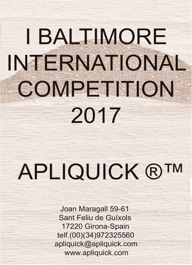# I BALTIMORE INTERNATIONAL COMPETITION 2017

## APLIQUICK ®™

Joan Maragall 59-61 Sant Feliu de Guíxols 17220 Girona-Spain telf.(00)(34)972325560 apliquick@apliquick.com www.apliquick.com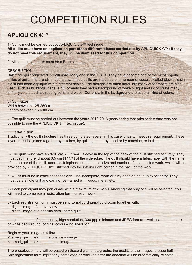### COMPETITION RULES

#### **APLIQUICK ®™**

1- Quilts must be carried out by APLIQUICK ®™ technique. **All quilts must have an application part of the different pieces carried out by APLIQUICK ®™; if they do not meet this requirement, they will be dismissed for this competition.** 

2- All competition quilts must be a Baltimore.

#### DESCRIPTION:

Baltimore quilt originated in Baltimore, Maryland in the 1840s. They have become one of the most popular styles of quilts and are still made today. These quilts are made up of a number of squares called blocks. Each block has been appliqué with a different design. The designs are often floral, but many other motifs are also used, such as buildings, flags, etc. Formerly they had a background of white or light and incorporate many primary colors such as reds, greens and blues. Currently, in the background are used all kind of colors.

3- Quilt sizes: Width between 125-250cm. Length between 150-300cm.

4- The quilt must be carried out between the years 2012-2016 (considering that prior to this date was not possible to use the APLIQUICK ®™ technique).

#### **Quilt definition:**

Traditionally the quilt structure has three completed layers, in this case it has to meet this requirement. These layers must be joined together by stitches, by quilting either by hand or by machine, or both.

5- The quilt must have an 8-10 cm. (3 "1/4-4") sleeve in the top of the back of the quilt stitched securely. They must begin and end about 3.5 cm (1 "1/4) of the side edge. The quilt should have a fabric label with the name of the author of the quilt, address, telephone number, title, size and number of the selected work, which will be provided by APLIQUICK ®™, stitched into the inferior right corner in the back of the work.

6- Quilts must be in excellent conditions. The incomplete, worn or dirty ones do not qualify for entry. They must be a single unit and can not be framed with wood, metal, etc.

7- Each participant may participate with a maximum of 2 works, knowing that only one will be selected. You will need to complete a registration form for each work.

8- Each registration form must be send to apliquick@apliquick.com together with:

- -1 digital image of an overview
- -1 digital image of a specific detail of the quilt.

Images must be of high quality, high resolution, 300 ppp minimum and JPEG format – well lit and on a black or white background, original colors – no alteration.

Register your image as follows: <nameq\_quilt title>, in the overview image <named\_quilt title>, in the detail image

The preselection jury will be based on those digital photographs; the quality of the images is essential! Any registration form improperly completed or received after the deadline will be automatically rejected.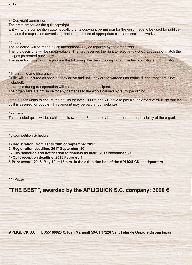9- Copyright permission

The artist preserves the quilt copyright.

Entry into the competition automatically grants copyright permission for the quilt image to be used for publication and the exposition advertising, including the use of appropriate sites and social networks.

10- Jury

The selection will be made by an international jury designated by the organizers.

The jury decisions will be unappealable. The jury reserves the right to reject any work that does not match the images presented previously.

The selection criteria of the jury are the following: the design, composition, technical quality and originality.

11- Shipping and insurance

Quilts will be insured as soon as they arrive and until they are forwarded (insurance during transport is not included).

Insurance during transportation will be charged to the participant.

The organizers are not liable for any damages to the works caused by faulty packaging.

If the author wants to ensure their quilts for over 1000  $\epsilon$ , she will have to pay a supplement of 50  $\epsilon$ , so that the quilt is assured for 3000 €. (This amount may be paid at our website).

12- Travel

The selected quilts will be exhibited elsewhere in France and abroad under the responsibility of the organizers.

13-Competition Schedule:

**1- Registration: from 1st to 20th of September 2017** 

**2- Registration deadline: 2017 September 20** 

**3- Jury selection and notification to finalists by mail: 2017 November 30**

**4- Quilt reception deadline: 2018 February 1**

**5-Prize award: 2018 May 19 at 16 p.m. in the exhibition hall of the APLIQUICK headquarters.**

14- Prizes

#### **"THE BEST", awarded by the APLIQUICK S.C. company: 3000 €**

 **APLIQUICK.S.C. nif: J55160923 C/Joan Maragall 59-61 17220 Sant Feliu de Guíxols-Girona (spain)**